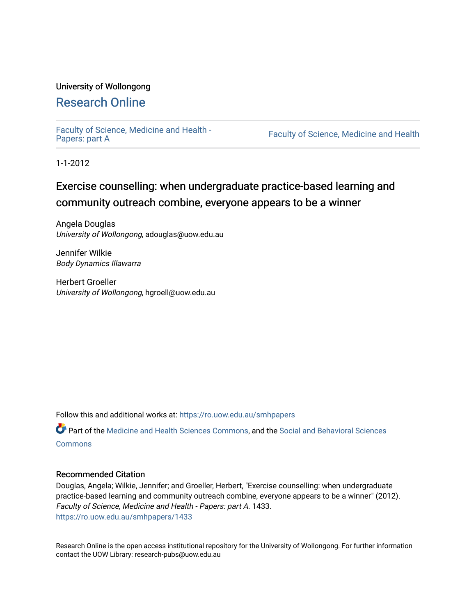## University of Wollongong

# [Research Online](https://ro.uow.edu.au/)

[Faculty of Science, Medicine and Health -](https://ro.uow.edu.au/smhpapers) Papers: part A

Faculty of Science, Medicine and Health

1-1-2012

# Exercise counselling: when undergraduate practice-based learning and community outreach combine, everyone appears to be a winner

Angela Douglas University of Wollongong, adouglas@uow.edu.au

Jennifer Wilkie Body Dynamics Illawarra

Herbert Groeller University of Wollongong, hgroell@uow.edu.au

Follow this and additional works at: [https://ro.uow.edu.au/smhpapers](https://ro.uow.edu.au/smhpapers?utm_source=ro.uow.edu.au%2Fsmhpapers%2F1433&utm_medium=PDF&utm_campaign=PDFCoverPages) 

Part of the [Medicine and Health Sciences Commons,](http://network.bepress.com/hgg/discipline/648?utm_source=ro.uow.edu.au%2Fsmhpapers%2F1433&utm_medium=PDF&utm_campaign=PDFCoverPages) and the [Social and Behavioral Sciences](http://network.bepress.com/hgg/discipline/316?utm_source=ro.uow.edu.au%2Fsmhpapers%2F1433&utm_medium=PDF&utm_campaign=PDFCoverPages) **[Commons](http://network.bepress.com/hgg/discipline/316?utm_source=ro.uow.edu.au%2Fsmhpapers%2F1433&utm_medium=PDF&utm_campaign=PDFCoverPages)** 

## Recommended Citation

Douglas, Angela; Wilkie, Jennifer; and Groeller, Herbert, "Exercise counselling: when undergraduate practice-based learning and community outreach combine, everyone appears to be a winner" (2012). Faculty of Science, Medicine and Health - Papers: part A. 1433. [https://ro.uow.edu.au/smhpapers/1433](https://ro.uow.edu.au/smhpapers/1433?utm_source=ro.uow.edu.au%2Fsmhpapers%2F1433&utm_medium=PDF&utm_campaign=PDFCoverPages)

Research Online is the open access institutional repository for the University of Wollongong. For further information contact the UOW Library: research-pubs@uow.edu.au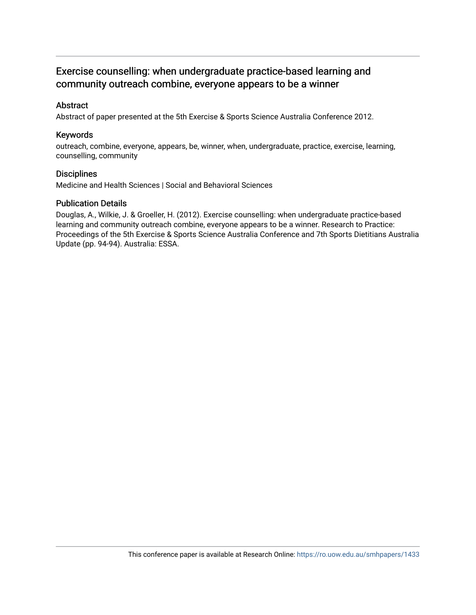## Exercise counselling: when undergraduate practice-based learning and community outreach combine, everyone appears to be a winner

## Abstract

Abstract of paper presented at the 5th Exercise & Sports Science Australia Conference 2012.

## Keywords

outreach, combine, everyone, appears, be, winner, when, undergraduate, practice, exercise, learning, counselling, community

### **Disciplines**

Medicine and Health Sciences | Social and Behavioral Sciences

### Publication Details

Douglas, A., Wilkie, J. & Groeller, H. (2012). Exercise counselling: when undergraduate practice-based learning and community outreach combine, everyone appears to be a winner. Research to Practice: Proceedings of the 5th Exercise & Sports Science Australia Conference and 7th Sports Dietitians Australia Update (pp. 94-94). Australia: ESSA.